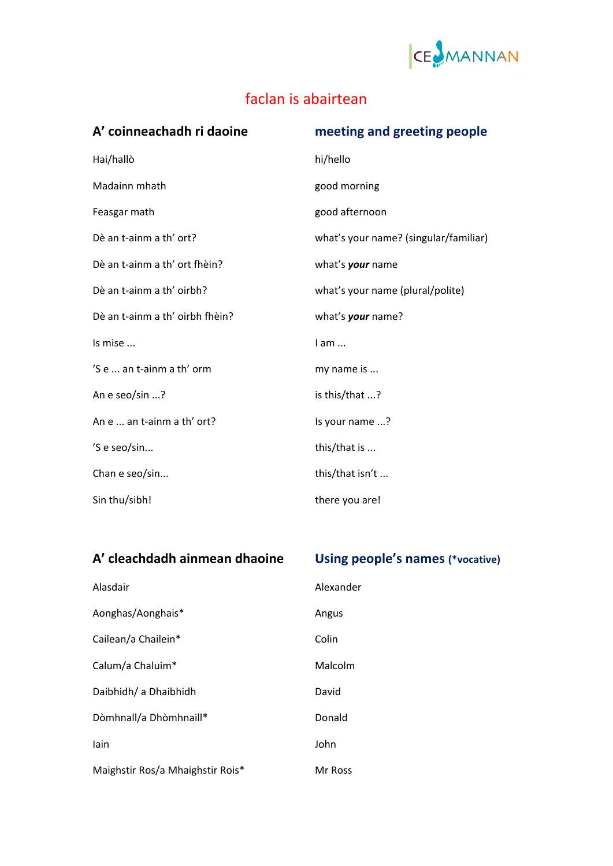

## faclan is abairtean

| A' coinneachadh ri daoine       | meeting and greeting people           |
|---------------------------------|---------------------------------------|
| Hai/hallò                       | hi/hello                              |
| Madainn mhath                   | good morning                          |
| Feasgar math                    | good afternoon                        |
| Dè an t-ainm a th' ort?         | what's your name? (singular/familiar) |
| Dè an t-ainm a th' ort fhèin?   | what's your name                      |
| Dè an t-ainm a th' oirbh?       | what's your name (plural/polite)      |
| Dè an t-ainm a th' oirbh fhèin? | what's your name?                     |
| Is mise                         | $l$ am $\ldots$                       |
| 'S e  an t-ainm a th' orm       | my name is                            |
| An e seo/sin ?                  | is this/that ?                        |
| An e  an t-ainm a th' ort?      | Is your name ?                        |
| 'S e seo/sin                    | this/that is                          |
| Chan e seo/sin                  | this/that isn't                       |
| Sin thu/sibh!                   | there you are!                        |

| A' cleachdadh ainmean dhaoine    | Using people's names (*vocative) |
|----------------------------------|----------------------------------|
| Alasdair                         | Alexander                        |
| Aonghas/Aonghais*                | Angus                            |
| Cailean/a Chailein*              | Colin                            |
| Calum/a Chaluim*                 | Malcolm                          |
| Daibhidh/ a Dhaibhidh            | David                            |
| Dòmhnall/a Dhòmhnaill*           | Donald                           |
| lain                             | John                             |
| Maighstir Ros/a Mhaighstir Rois* | Mr Ross                          |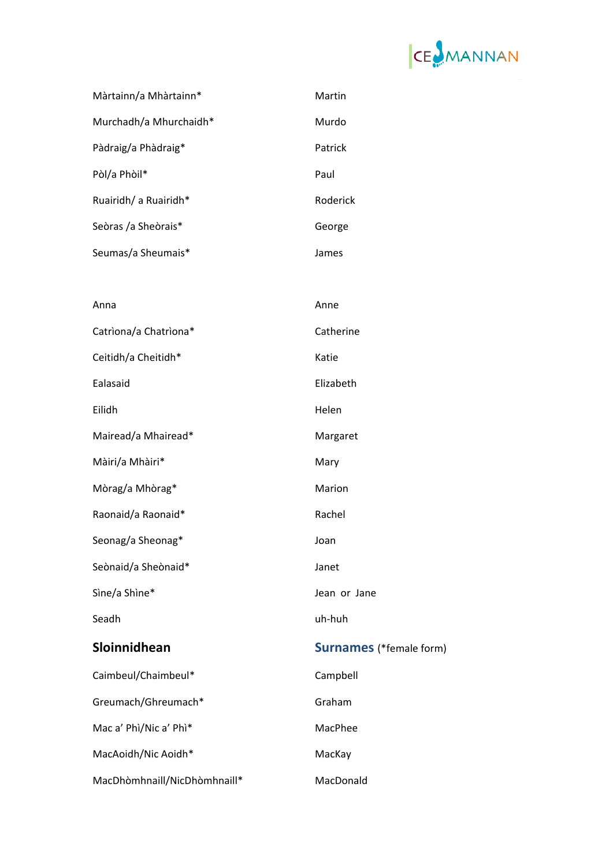

| Màrtainn/a Mhàrtainn*        | Martin                         |
|------------------------------|--------------------------------|
| Murchadh/a Mhurchaidh*       | Murdo                          |
| Pàdraig/a Phàdraig*          | Patrick                        |
| Pòl/a Phòil*                 | Paul                           |
| Ruairidh/ a Ruairidh*        | Roderick                       |
| Seòras /a Sheòrais*          | George                         |
| Seumas/a Sheumais*           | James                          |
|                              |                                |
| Anna                         | Anne                           |
| Catriona/a Chatriona*        | Catherine                      |
| Ceitidh/a Cheitidh*          | Katie                          |
| Ealasaid                     | Elizabeth                      |
| Eilidh                       | Helen                          |
| Mairead/a Mhairead*          | Margaret                       |
| Màiri/a Mhàiri*              | Mary                           |
| Mòrag/a Mhòrag*              | Marion                         |
| Raonaid/a Raonaid*           | Rachel                         |
| Seonag/a Sheonag*            | Joan                           |
| Seònaid/a Sheònaid*          | Janet                          |
| Sìne/a Shìne*                | Jean or Jane                   |
| Seadh                        | uh-huh                         |
| Sloinnidhean                 | <b>Surnames</b> (*female form) |
| Caimbeul/Chaimbeul*          | Campbell                       |
| Greumach/Ghreumach*          | Graham                         |
| Mac a' Phì/Nic a' Phì*       | MacPhee                        |
| MacAoidh/Nic Aoidh*          | MacKay                         |
| MacDhòmhnaill/NicDhòmhnaill* | MacDonald                      |